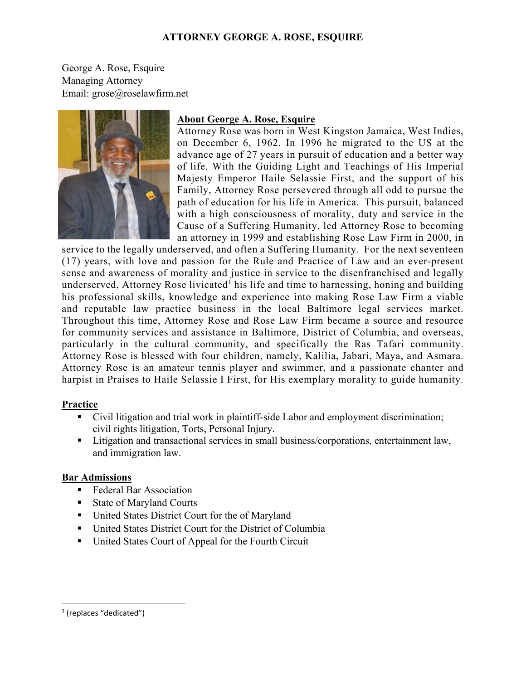### **ATTORNEY GEORGE A. ROSE, ESQUIRE**

George A. Rose, Esquire Managing Attorney Email: grose@roselawfirm.net



# **About George A. Rose, Esquire**

Attorney Rose was born in West Kingston Jamaica, West Indies, on December 6, 1962. In 1996 he migrated to the US at the advance age of 27 years in pursuit of education and a better way of life. With the Guiding Light and Teachings of His Imperial Majesty Emperor Haile Selassie First, and the support of his Family, Attorney Rose persevered through all odd to pursue the path of education for his life in America. This pursuit, balanced with a high consciousness of morality, duty and service in the Cause of a Suffering Humanity, led Attorney Rose to becoming an attorney in 1999 and establishing Rose Law Firm in 2000, in

service to the legally underserved, and often a Suffering Humanity. For the next seventeen (17) years, with love and passion for the Rule and Practice of Law and an ever-present sense and awareness of morality and justice in service to the disenfranchised and legally underserved, Attorney Rose livicated<sup>1</sup> his life and time to harnessing, honing and building his professional skills, knowledge and experience into making Rose Law Firm a viable and reputable law practice business in the local Baltimore legal services market. Throughout this time, Attorney Rose and Rose Law Firm became a source and resource for community services and assistance in Baltimore, District of Columbia, and overseas, particularly in the cultural community, and specifically the Ras Tafari community. Attorney Rose is blessed with four children, namely, Kalilia, Jabari, Maya, and Asmara. Attorney Rose is an amateur tennis player and swimmer, and a passionate chanter and harpist in Praises to Haile Selassie I First, for His exemplary morality to guide humanity.

### **Practice**

- Civil litigation and trial work in plaintiff-side Labor and employment discrimination; civil rights litigation, Torts, Personal Injury.
- **Litigation and transactional services in small business/corporations, entertainment law,** and immigration law.

### **Bar Admissions**

- Federal Bar Association
- State of Maryland Courts
- United States District Court for the of Maryland
- United States District Court for the District of Columbia
- United States Court of Appeal for the Fourth Circuit

<sup>&</sup>lt;sup>1</sup> (replaces "dedicated")